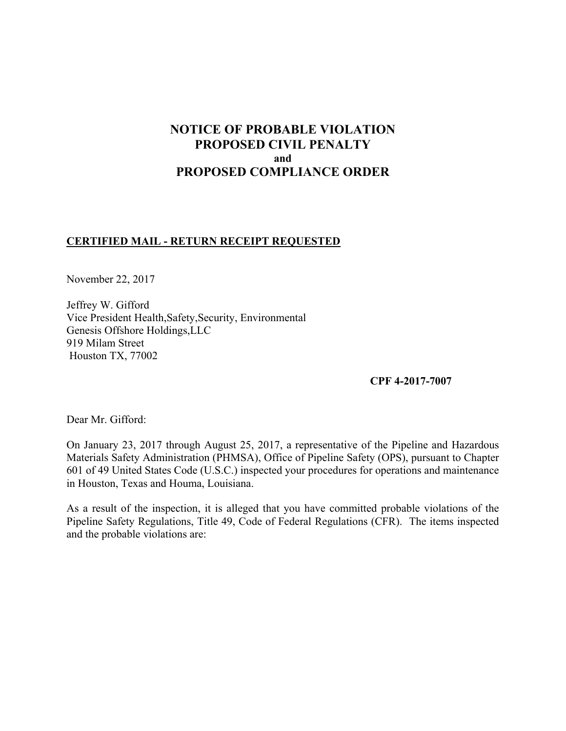# **NOTICE OF PROBABLE VIOLATION PROPOSED CIVIL PENALTY and PROPOSED COMPLIANCE ORDER**

## **CERTIFIED MAIL - RETURN RECEIPT REQUESTED**

November 22, 2017

Jeffrey W. Gifford Vice President Health,Safety,Security, Environmental Genesis Offshore Holdings,LLC 919 Milam Street Houston TX, 77002

**CPF 4-2017-7007** 

Dear Mr. Gifford:

On January 23, 2017 through August 25, 2017, a representative of the Pipeline and Hazardous Materials Safety Administration (PHMSA), Office of Pipeline Safety (OPS), pursuant to Chapter 601 of 49 United States Code (U.S.C.) inspected your procedures for operations and maintenance in Houston, Texas and Houma, Louisiana.

 Pipeline Safety Regulations, Title 49, Code of Federal Regulations (CFR). The items inspected As a result of the inspection, it is alleged that you have committed probable violations of the and the probable violations are: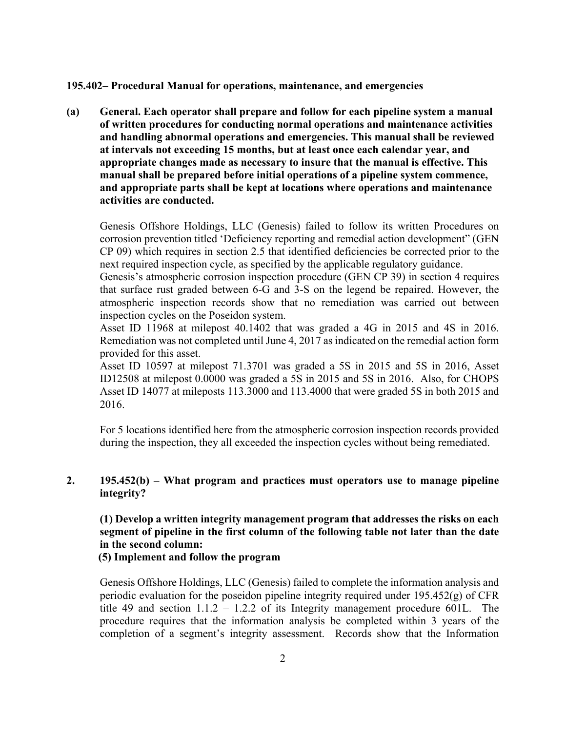#### **195.402– Procedural Manual for operations, maintenance, and emergencies**

**(a) General. Each operator shall prepare and follow for each pipeline system a manual of written procedures for conducting normal operations and maintenance activities and handling abnormal operations and emergencies. This manual shall be reviewed at intervals not exceeding 15 months, but at least once each calendar year, and appropriate changes made as necessary to insure that the manual is effective. This manual shall be prepared before initial operations of a pipeline system commence, and appropriate parts shall be kept at locations where operations and maintenance activities are conducted.** 

 CP 09) which requires in section 2.5 that identified deficiencies be corrected prior to the Genesis Offshore Holdings, LLC (Genesis) failed to follow its written Procedures on corrosion prevention titled 'Deficiency reporting and remedial action development" (GEN next required inspection cycle, as specified by the applicable regulatory guidance.

 Genesis's atmospheric corrosion inspection procedure (GEN CP 39) in section 4 requires inspection cycles on the Poseidon system. that surface rust graded between 6-G and 3-S on the legend be repaired. However, the atmospheric inspection records show that no remediation was carried out between

Asset ID 11968 at milepost 40.1402 that was graded a 4G in 2015 and 4S in 2016. Remediation was not completed until June 4, 2017 as indicated on the remedial action form provided for this asset.

Asset ID 10597 at milepost 71.3701 was graded a 5S in 2015 and 5S in 2016, Asset ID12508 at milepost 0.0000 was graded a 5S in 2015 and 5S in 2016. Also, for CHOPS Asset ID 14077 at mileposts 113.3000 and 113.4000 that were graded 5S in both 2015 and 2016.

 For 5 locations identified here from the atmospheric corrosion inspection records provided during the inspection, they all exceeded the inspection cycles without being remediated.

## **2. 195.452(b) – What program and practices must operators use to manage pipeline integrity?**

# **(1) Develop a written integrity management program that addresses the risks on each segment of pipeline in the first column of the following table not later than the date in the second column:**

### **(5) Implement and follow the program**

 procedure requires that the information analysis be completed within 3 years of the Genesis Offshore Holdings, LLC (Genesis) failed to complete the information analysis and periodic evaluation for the poseidon pipeline integrity required under 195.452(g) of CFR title 49 and section  $1.1.2 - 1.2.2$  of its Integrity management procedure 601L. The completion of a segment's integrity assessment. Records show that the Information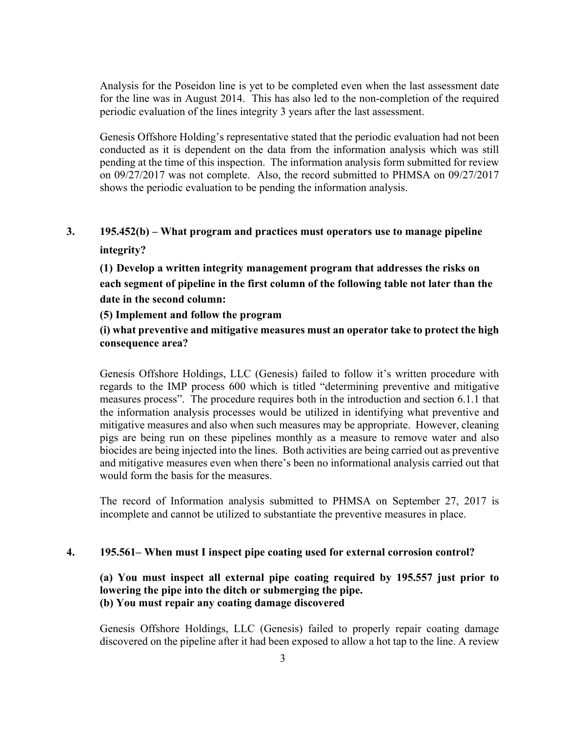Analysis for the Poseidon line is yet to be completed even when the last assessment date for the line was in August 2014. This has also led to the non-completion of the required periodic evaluation of the lines integrity 3 years after the last assessment.

Genesis Offshore Holding's representative stated that the periodic evaluation had not been conducted as it is dependent on the data from the information analysis which was still pending at the time of this inspection. The information analysis form submitted for review on 09/27/2017 was not complete. Also, the record submitted to PHMSA on 09/27/2017 shows the periodic evaluation to be pending the information analysis.

# **3. 195.452(b) – What program and practices must operators use to manage pipeline integrity?**

**(1) Develop a written integrity management program that addresses the risks on each segment of pipeline in the first column of the following table not later than the date in the second column:** 

## **(5) Implement and follow the program**

# **(i) what preventive and mitigative measures must an operator take to protect the high consequence area?**

 biocides are being injected into the lines. Both activities are being carried out as preventive Genesis Offshore Holdings, LLC (Genesis) failed to follow it's written procedure with regards to the IMP process 600 which is titled "determining preventive and mitigative measures process". The procedure requires both in the introduction and section 6.1.1 that the information analysis processes would be utilized in identifying what preventive and mitigative measures and also when such measures may be appropriate. However, cleaning pigs are being run on these pipelines monthly as a measure to remove water and also and mitigative measures even when there's been no informational analysis carried out that would form the basis for the measures.

The record of Information analysis submitted to PHMSA on September 27, 2017 is incomplete and cannot be utilized to substantiate the preventive measures in place.

### **4. 195.561– When must I inspect pipe coating used for external corrosion control?**

## **(a) You must inspect all external pipe coating required by 195.557 just prior to lowering the pipe into the ditch or submerging the pipe. (b) You must repair any coating damage discovered**

Genesis Offshore Holdings, LLC (Genesis) failed to properly repair coating damage discovered on the pipeline after it had been exposed to allow a hot tap to the line. A review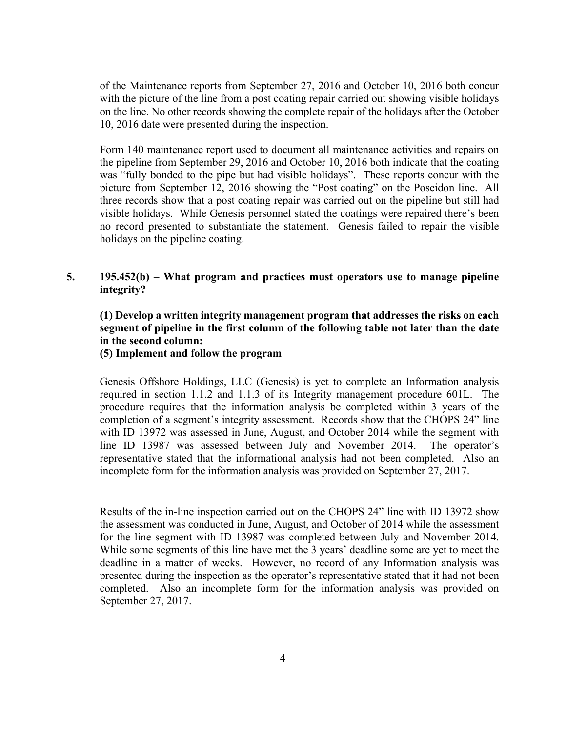of the Maintenance reports from September 27, 2016 and October 10, 2016 both concur with the picture of the line from a post coating repair carried out showing visible holidays on the line. No other records showing the complete repair of the holidays after the October 10, 2016 date were presented during the inspection.

 no record presented to substantiate the statement. Genesis failed to repair the visible Form 140 maintenance report used to document all maintenance activities and repairs on the pipeline from September 29, 2016 and October 10, 2016 both indicate that the coating was "fully bonded to the pipe but had visible holidays". These reports concur with the picture from September 12, 2016 showing the "Post coating" on the Poseidon line. All three records show that a post coating repair was carried out on the pipeline but still had visible holidays. While Genesis personnel stated the coatings were repaired there's been holidays on the pipeline coating.

## **5. 195.452(b) – What program and practices must operators use to manage pipeline integrity?**

## **(1) Develop a written integrity management program that addresses the risks on each segment of pipeline in the first column of the following table not later than the date in the second column:**

#### **(5) Implement and follow the program**

 procedure requires that the information analysis be completed within 3 years of the Genesis Offshore Holdings, LLC (Genesis) is yet to complete an Information analysis required in section 1.1.2 and 1.1.3 of its Integrity management procedure 601L. The completion of a segment's integrity assessment. Records show that the CHOPS 24" line with ID 13972 was assessed in June, August, and October 2014 while the segment with line ID 13987 was assessed between July and November 2014. The operator's representative stated that the informational analysis had not been completed. Also an incomplete form for the information analysis was provided on September 27, 2017.

 While some segments of this line have met the 3 years' deadline some are yet to meet the Results of the in-line inspection carried out on the CHOPS 24" line with ID 13972 show the assessment was conducted in June, August, and October of 2014 while the assessment for the line segment with ID 13987 was completed between July and November 2014. deadline in a matter of weeks. However, no record of any Information analysis was presented during the inspection as the operator's representative stated that it had not been completed. Also an incomplete form for the information analysis was provided on September 27, 2017.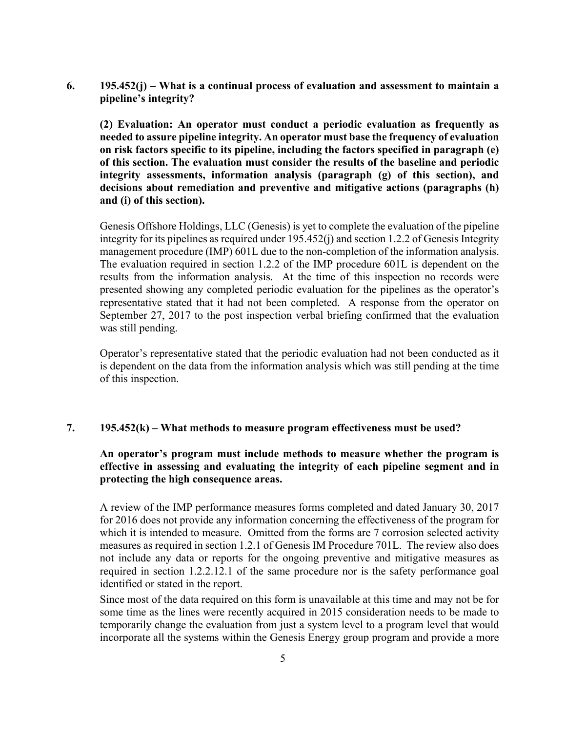**6. 195.452(j) – What is a continual process of evaluation and assessment to maintain a pipeline's integrity?**

 **on risk factors specific to its pipeline, including the factors specified in paragraph (e) (2) Evaluation: An operator must conduct a periodic evaluation as frequently as needed to assure pipeline integrity. An operator must base the frequency of evaluation of this section. The evaluation must consider the results of the baseline and periodic integrity assessments, information analysis (paragraph (g) of this section), and decisions about remediation and preventive and mitigative actions (paragraphs (h) and (i) of this section).** 

 Genesis Offshore Holdings, LLC (Genesis) is yet to complete the evaluation of the pipeline results from the information analysis. At the time of this inspection no records were representative stated that it had not been completed. A response from the operator on integrity for its pipelines as required under 195.452(j) and section 1.2.2 of Genesis Integrity management procedure (IMP) 601L due to the non-completion of the information analysis. The evaluation required in section 1.2.2 of the IMP procedure 601L is dependent on the presented showing any completed periodic evaluation for the pipelines as the operator's September 27, 2017 to the post inspection verbal briefing confirmed that the evaluation was still pending.

Operator's representative stated that the periodic evaluation had not been conducted as it is dependent on the data from the information analysis which was still pending at the time of this inspection.

### **7. 195.452(k) – What methods to measure program effectiveness must be used?**

 **effective in assessing and evaluating the integrity of each pipeline segment and in An operator's program must include methods to measure whether the program is protecting the high consequence areas.** 

 A review of the IMP performance measures forms completed and dated January 30, 2017 which it is intended to measure. Omitted from the forms are 7 corrosion selected activity for 2016 does not provide any information concerning the effectiveness of the program for measures as required in section 1.2.1 of Genesis IM Procedure 701L. The review also does not include any data or reports for the ongoing preventive and mitigative measures as required in section 1.2.2.12.1 of the same procedure nor is the safety performance goal identified or stated in the report.

 some time as the lines were recently acquired in 2015 consideration needs to be made to Since most of the data required on this form is unavailable at this time and may not be for temporarily change the evaluation from just a system level to a program level that would incorporate all the systems within the Genesis Energy group program and provide a more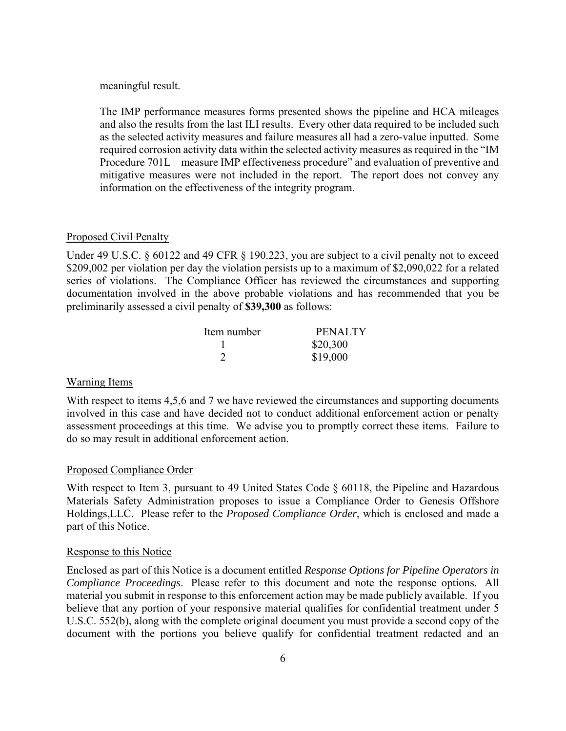meaningful result.

 and also the results from the last ILI results. Every other data required to be included such as the selected activity measures and failure measures all had a zero-value inputted. Some mitigative measures were not included in the report. The report does not convey any The IMP performance measures forms presented shows the pipeline and HCA mileages required corrosion activity data within the selected activity measures as required in the "IM Procedure 701L – measure IMP effectiveness procedure" and evaluation of preventive and information on the effectiveness of the integrity program.

#### Proposed Civil Penalty

Under 49 U.S.C. § 60122 and 49 CFR § 190.223, you are subject to a civil penalty not to exceed \$209,002 per violation per day the violation persists up to a maximum of \$2,090,022 for a related series of violations. The Compliance Officer has reviewed the circumstances and supporting documentation involved in the above probable violations and has recommended that you be preliminarily assessed a civil penalty of **\$39,300** as follows:

| Item number | <b>PENALTY</b> |
|-------------|----------------|
|             | \$20,300       |
|             | \$19,000       |

#### Warning Items

With respect to items 4,5,6 and 7 we have reviewed the circumstances and supporting documents involved in this case and have decided not to conduct additional enforcement action or penalty assessment proceedings at this time. We advise you to promptly correct these items. Failure to do so may result in additional enforcement action.

#### Proposed Compliance Order

With respect to Item 3, pursuant to 49 United States Code § 60118, the Pipeline and Hazardous Materials Safety Administration proposes to issue a Compliance Order to Genesis Offshore Holdings,LLC. Please refer to the *Proposed Compliance Order*, which is enclosed and made a part of this Notice.

#### Response to this Notice

 *Compliance Proceedings*. Please refer to this document and note the response options. All Enclosed as part of this Notice is a document entitled *Response Options for Pipeline Operators in*  material you submit in response to this enforcement action may be made publicly available. If you believe that any portion of your responsive material qualifies for confidential treatment under 5 U.S.C. 552(b), along with the complete original document you must provide a second copy of the document with the portions you believe qualify for confidential treatment redacted and an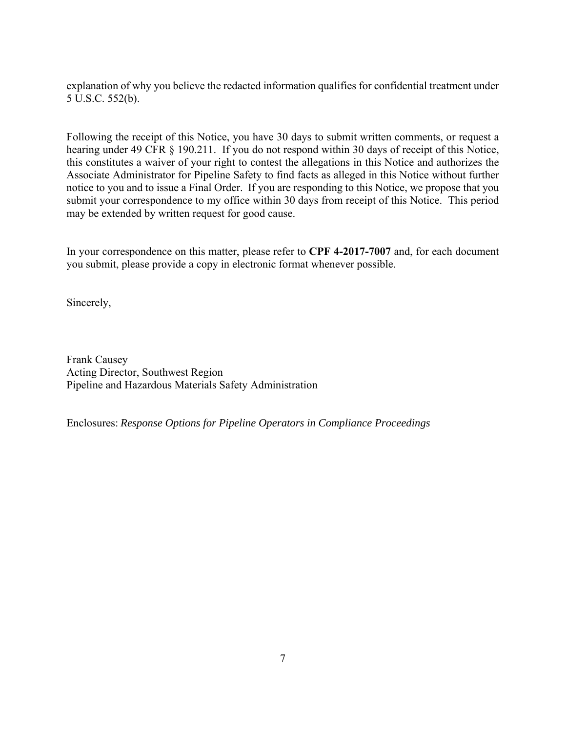explanation of why you believe the redacted information qualifies for confidential treatment under 5 U.S.C. 552(b).

 submit your correspondence to my office within 30 days from receipt of this Notice. This period Following the receipt of this Notice, you have 30 days to submit written comments, or request a hearing under 49 CFR § 190.211. If you do not respond within 30 days of receipt of this Notice, this constitutes a waiver of your right to contest the allegations in this Notice and authorizes the Associate Administrator for Pipeline Safety to find facts as alleged in this Notice without further notice to you and to issue a Final Order. If you are responding to this Notice, we propose that you may be extended by written request for good cause.

In your correspondence on this matter, please refer to **CPF 4-2017-7007** and, for each document you submit, please provide a copy in electronic format whenever possible.

Sincerely,

Frank Causey Acting Director, Southwest Region Pipeline and Hazardous Materials Safety Administration

Enclosures: *Response Options for Pipeline Operators in Compliance Proceedings*